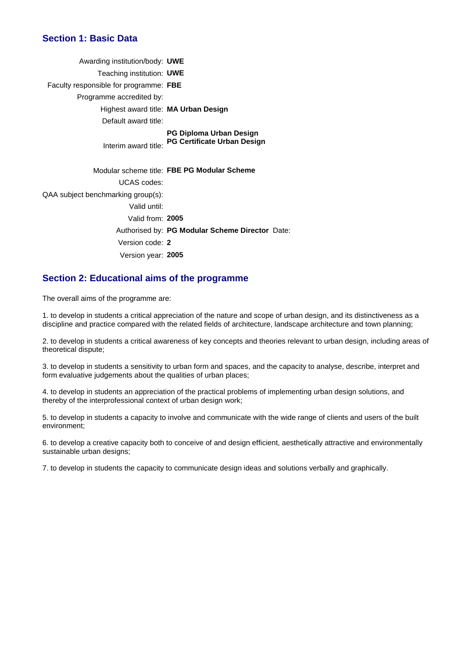## **Section 1: Basic Data**

| Awarding institution/body: UWE         |                                                                      |
|----------------------------------------|----------------------------------------------------------------------|
| Teaching institution: UWE              |                                                                      |
| Faculty responsible for programme: FBE |                                                                      |
| Programme accredited by:               |                                                                      |
| Highest award title: MA Urban Design   |                                                                      |
| Default award title:                   |                                                                      |
| Interim award title:                   | <b>PG Diploma Urban Design</b><br><b>PG Certificate Urban Design</b> |
|                                        | Modular scheme title: FBE PG Modular Scheme                          |
| <b>UCAS</b> codes:                     |                                                                      |
| QAA subject benchmarking group(s):     |                                                                      |
| Valid until:                           |                                                                      |
| Valid from: 2005                       |                                                                      |
|                                        | Authorised by: PG Modular Scheme Director Date:                      |
| Version code: 2                        |                                                                      |
| Version year: 2005                     |                                                                      |

### **Section 2: Educational aims of the programme**

The overall aims of the programme are:

1. to develop in students a critical appreciation of the nature and scope of urban design, and its distinctiveness as a discipline and practice compared with the related fields of architecture, landscape architecture and town planning;

2. to develop in students a critical awareness of key concepts and theories relevant to urban design, including areas of theoretical dispute;

3. to develop in students a sensitivity to urban form and spaces, and the capacity to analyse, describe, interpret and form evaluative judgements about the qualities of urban places;

4. to develop in students an appreciation of the practical problems of implementing urban design solutions, and thereby of the interprofessional context of urban design work;

5. to develop in students a capacity to involve and communicate with the wide range of clients and users of the built environment;

6. to develop a creative capacity both to conceive of and design efficient, aesthetically attractive and environmentally sustainable urban designs;

7. to develop in students the capacity to communicate design ideas and solutions verbally and graphically.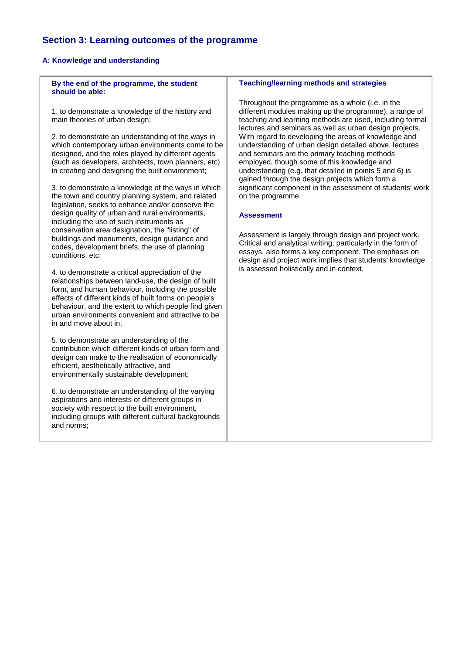## **Section 3: Learning outcomes of the programme**

#### **A: Knowledge and understanding**

**By the end of the programme, the student should be able:**

1. to demonstrate a knowledge of the history and main theories of urban design;

2. to demonstrate an understanding of the ways in which contemporary urban environments come to be designed, and the roles played by different agents (such as developers, architects, town planners, etc) in creating and designing the built environment;

3. to demonstrate a knowledge of the ways in which the town and country planning system, and related legislation, seeks to enhance and/or conserve the design quality of urban and rural environments, including the use of such instruments as conservation area designation, the "listing" of buildings and monuments, design guidance and codes, development briefs, the use of planning conditions, etc;

4. to demonstrate a critical appreciation of the relationships between land-use, the design of built form, and human behaviour, including the possible effects of different kinds of built forms on people's behaviour, and the extent to which people find given urban environments convenient and attractive to be in and move about in;

5. to demonstrate an understanding of the contribution which different kinds of urban form and design can make to the realisation of economically efficient, aesthetically attractive, and environmentally sustainable development;

6. to demonstrate an understanding of the varying aspirations and interests of different groups in society with respect to the built environment. including groups with different cultural backgrounds and norms;

#### **Teaching/learning methods and strategies**

Throughout the programme as a whole (i.e. in the different modules making up the programme), a range of teaching and learning methods are used, including formal lectures and seminars as well as urban design projects. With regard to developing the areas of knowledge and understanding of urban design detailed above, lectures and seminars are the primary teaching methods employed, though some of this knowledge and understanding (e.g. that detailed in points 5 and 6) is gained through the design projects which form a significant component in the assessment of students' work on the programme.

#### **Assessment**

Assessment is largely through design and project work. Critical and analytical writing, particularly in the form of essays, also forms a key component. The emphasis on design and project work implies that students' knowledge is assessed holistically and in context.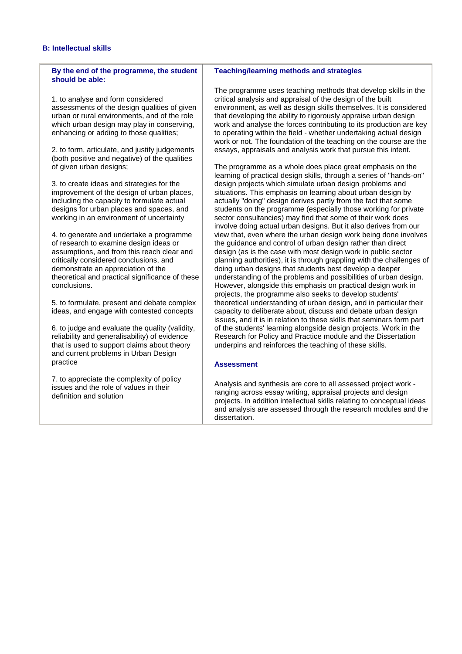#### **B: Intellectual skills**

#### **By the end of the programme, the student should be able:**

1. to analyse and form considered assessments of the design qualities of given urban or rural environments, and of the role which urban design may play in conserving. enhancing or adding to those qualities;

2. to form, articulate, and justify judgements (both positive and negative) of the qualities of given urban designs;

3. to create ideas and strategies for the improvement of the design of urban places, including the capacity to formulate actual designs for urban places and spaces, and working in an environment of uncertainty

4. to generate and undertake a programme of research to examine design ideas or assumptions, and from this reach clear and critically considered conclusions, and demonstrate an appreciation of the theoretical and practical significance of these conclusions.

5. to formulate, present and debate complex ideas, and engage with contested concepts

6. to judge and evaluate the quality (validity, reliability and generalisability) of evidence that is used to support claims about theory and current problems in Urban Design practice

7. to appreciate the complexity of policy issues and the role of values in their definition and solution

#### **Teaching/learning methods and strategies**

The programme uses teaching methods that develop skills in the critical analysis and appraisal of the design of the built environment, as well as design skills themselves. It is considered that developing the ability to rigorously appraise urban design work and analyse the forces contributing to its production are key to operating within the field - whether undertaking actual design work or not. The foundation of the teaching on the course are the essays, appraisals and analysis work that pursue this intent.

The programme as a whole does place great emphasis on the learning of practical design skills, through a series of "hands-on" design projects which simulate urban design problems and situations. This emphasis on learning about urban design by actually "doing" design derives partly from the fact that some students on the programme (especially those working for private sector consultancies) may find that some of their work does involve doing actual urban designs. But it also derives from our view that, even where the urban design work being done involves the guidance and control of urban design rather than direct design (as is the case with most design work in public sector planning authorities), it is through grappling with the challenges of doing urban designs that students best develop a deeper understanding of the problems and possibilities of urban design. However, alongside this emphasis on practical design work in projects, the programme also seeks to develop students' theoretical understanding of urban design, and in particular their capacity to deliberate about, discuss and debate urban design issues, and it is in relation to these skills that seminars form part of the students' learning alongside design projects. Work in the Research for Policy and Practice module and the Dissertation underpins and reinforces the teaching of these skills.

#### **Assessment**

Analysis and synthesis are core to all assessed project work ranging across essay writing, appraisal projects and design projects. In addition intellectual skills relating to conceptual ideas and analysis are assessed through the research modules and the dissertation.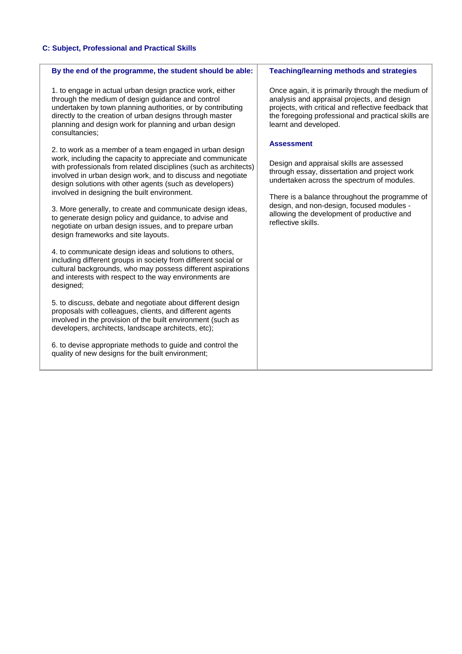## **C: Subject, Professional and Practical Skills**

| By the end of the programme, the student should be able:                                                                                                                                                                                                                                                              | <b>Teaching/learning methods and strategies</b>                                                                                                                                                                                          |
|-----------------------------------------------------------------------------------------------------------------------------------------------------------------------------------------------------------------------------------------------------------------------------------------------------------------------|------------------------------------------------------------------------------------------------------------------------------------------------------------------------------------------------------------------------------------------|
| 1. to engage in actual urban design practice work, either<br>through the medium of design guidance and control<br>undertaken by town planning authorities, or by contributing<br>directly to the creation of urban designs through master<br>planning and design work for planning and urban design<br>consultancies; | Once again, it is primarily through the medium of<br>analysis and appraisal projects, and design<br>projects, with critical and reflective feedback that<br>the foregoing professional and practical skills are<br>learnt and developed. |
| 2. to work as a member of a team engaged in urban design<br>work, including the capacity to appreciate and communicate<br>with professionals from related disciplines (such as architects)                                                                                                                            | <b>Assessment</b><br>Design and appraisal skills are assessed                                                                                                                                                                            |
| involved in urban design work, and to discuss and negotiate<br>design solutions with other agents (such as developers)<br>involved in designing the built environment.                                                                                                                                                | through essay, dissertation and project work<br>undertaken across the spectrum of modules.                                                                                                                                               |
| 3. More generally, to create and communicate design ideas,<br>to generate design policy and guidance, to advise and<br>negotiate on urban design issues, and to prepare urban<br>design frameworks and site layouts.                                                                                                  | There is a balance throughout the programme of<br>design, and non-design, focused modules -<br>allowing the development of productive and<br>reflective skills.                                                                          |
| 4. to communicate design ideas and solutions to others,<br>including different groups in society from different social or<br>cultural backgrounds, who may possess different aspirations<br>and interests with respect to the way environments are<br>designed;                                                       |                                                                                                                                                                                                                                          |
| 5. to discuss, debate and negotiate about different design<br>proposals with colleagues, clients, and different agents<br>involved in the provision of the built environment (such as<br>developers, architects, landscape architects, etc);                                                                          |                                                                                                                                                                                                                                          |
| 6. to devise appropriate methods to guide and control the<br>quality of new designs for the built environment;                                                                                                                                                                                                        |                                                                                                                                                                                                                                          |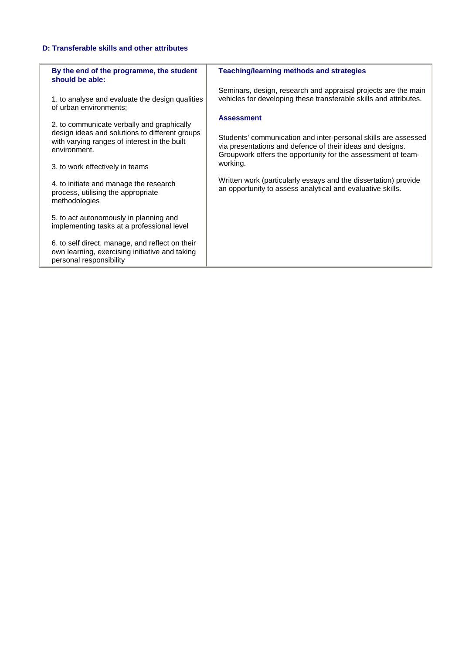### **D: Transferable skills and other attributes**

| By the end of the programme, the student<br>should be able:                                                                  | <b>Teaching/learning methods and strategies</b>                                                                                                                                             |
|------------------------------------------------------------------------------------------------------------------------------|---------------------------------------------------------------------------------------------------------------------------------------------------------------------------------------------|
| 1. to analyse and evaluate the design qualities<br>of urban environments;                                                    | Seminars, design, research and appraisal projects are the main<br>vehicles for developing these transferable skills and attributes.                                                         |
| 2. to communicate verbally and graphically                                                                                   | <b>Assessment</b>                                                                                                                                                                           |
| design ideas and solutions to different groups<br>with varying ranges of interest in the built<br>environment.               | Students' communication and inter-personal skills are assessed<br>via presentations and defence of their ideas and designs.<br>Groupwork offers the opportunity for the assessment of team- |
| 3. to work effectively in teams                                                                                              | working.                                                                                                                                                                                    |
| 4. to initiate and manage the research<br>process, utilising the appropriate<br>methodologies                                | Written work (particularly essays and the dissertation) provide<br>an opportunity to assess analytical and evaluative skills.                                                               |
| 5. to act autonomously in planning and<br>implementing tasks at a professional level                                         |                                                                                                                                                                                             |
| 6. to self direct, manage, and reflect on their<br>own learning, exercising initiative and taking<br>personal responsibility |                                                                                                                                                                                             |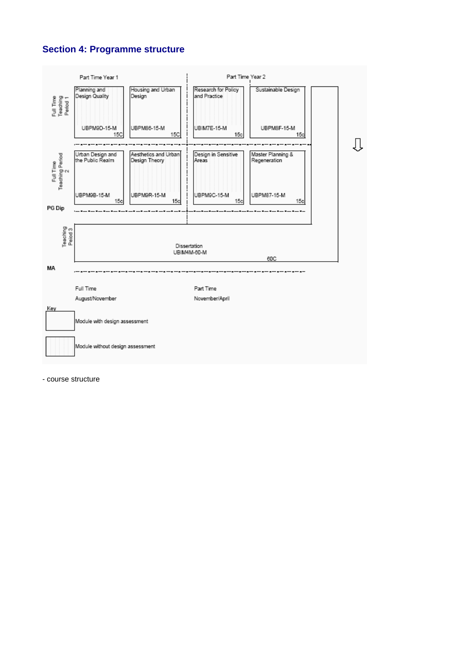# **Section 4: Programme structure**



- course structure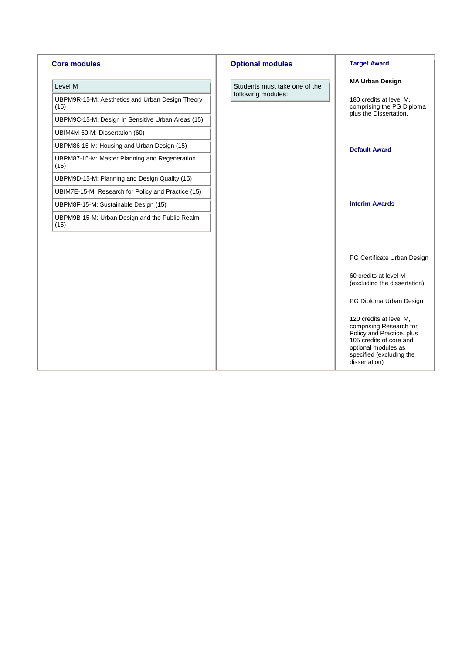| <b>Core modules</b>                                     |
|---------------------------------------------------------|
| Level M                                                 |
| UBPM9R-15-M: Aesthetics and Urban Design Theory<br>(15) |
| UBPM9C-15-M: Design in Sensitive Urban Areas (15)       |
| UBIM4M-60-M: Dissertation (60)                          |
| UBPM86-15-M: Housing and Urban Design (15)              |
| UBPM87-15-M: Master Planning and Regeneration<br>(15)   |
| UBPM9D-15-M: Planning and Design Quality (15)           |
| UBIM7E-15-M: Research for Policy and Practice (15)      |
| UBPM8F-15-M: Sustainable Design (15)                    |
| UBPM9B-15-M: Urban Design and the Public Realm<br>(15)  |
|                                                         |
|                                                         |
|                                                         |
|                                                         |